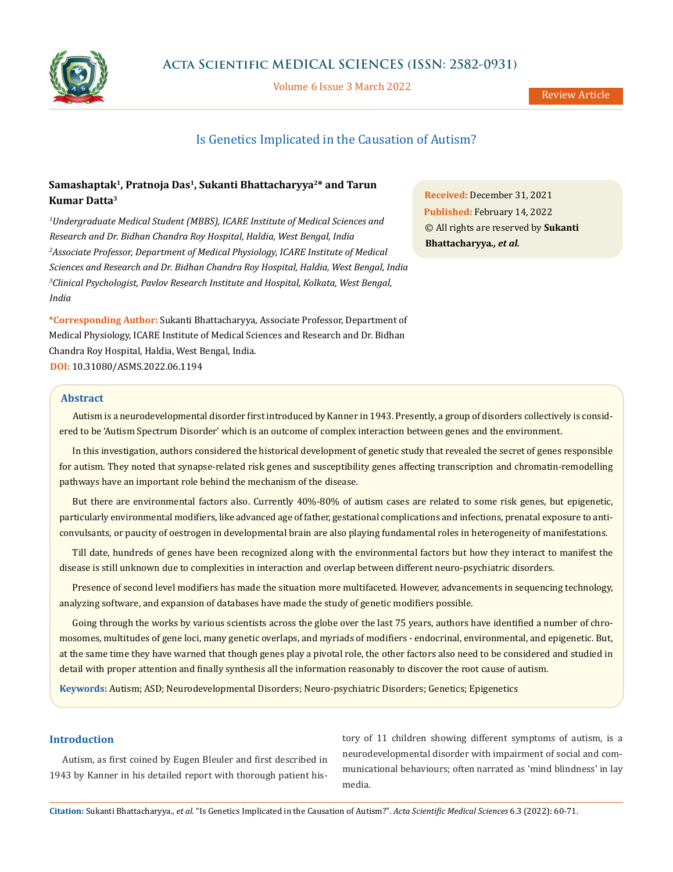

Volume 6 Issue 3 March 2022

# Is Genetics Implicated in the Causation of Autism?

# Samashaptak<sup>1</sup>, Pratnoja Das<sup>1</sup>, Sukanti Bhattacharyya<sup>2\*</sup> and Tarun **Kumar Datta3**

*1 Undergraduate Medical Student (MBBS), ICARE Institute of Medical Sciences and Research and Dr. Bidhan Chandra Roy Hospital, Haldia, West Bengal, India 2 Associate Professor, Department of Medical Physiology, ICARE Institute of Medical Sciences and Research and Dr. Bidhan Chandra Roy Hospital, Haldia, West Bengal, India 3 Clinical Psychologist, Pavlov Research Institute and Hospital, Kolkata, West Bengal, India*

**\*Corresponding Author:** Sukanti Bhattacharyya, Associate Professor, Department of Medical Physiology, ICARE Institute of Medical Sciences and Research and Dr. Bidhan Chandra Roy Hospital, Haldia, West Bengal, India. **DOI:** [10.31080/ASMS.2022.06.1194](https://actascientific.com/ASMS/pdf/ASMS-06-1194.pdf)

**Received:** December 31, 2021 **Published:** February 14, 2022 © All rights are reserved by **Sukanti Bhattacharyya***., et al.* 

# **Abstract**

Autism is a neurodevelopmental disorder first introduced by Kanner in 1943. Presently, a group of disorders collectively is considered to be 'Autism Spectrum Disorder' which is an outcome of complex interaction between genes and the environment.

In this investigation, authors considered the historical development of genetic study that revealed the secret of genes responsible for autism. They noted that synapse-related risk genes and susceptibility genes affecting transcription and chromatin-remodelling pathways have an important role behind the mechanism of the disease.

But there are environmental factors also. Currently 40%-80% of autism cases are related to some risk genes, but epigenetic, particularly environmental modifiers, like advanced age of father, gestational complications and infections, prenatal exposure to anticonvulsants, or paucity of oestrogen in developmental brain are also playing fundamental roles in heterogeneity of manifestations.

Till date, hundreds of genes have been recognized along with the environmental factors but how they interact to manifest the disease is still unknown due to complexities in interaction and overlap between different neuro-psychiatric disorders.

Presence of second level modifiers has made the situation more multifaceted. However, advancements in sequencing technology, analyzing software, and expansion of databases have made the study of genetic modifiers possible.

Going through the works by various scientists across the globe over the last 75 years, authors have identified a number of chromosomes, multitudes of gene loci, many genetic overlaps, and myriads of modifiers - endocrinal, environmental, and epigenetic. But, at the same time they have warned that though genes play a pivotal role, the other factors also need to be considered and studied in detail with proper attention and finally synthesis all the information reasonably to discover the root cause of autism.

**Keywords:** Autism; ASD; Neurodevelopmental Disorders; Neuro-psychiatric Disorders; Genetics; Epigenetics

# **Introduction**

Autism, as first coined by Eugen Bleuler and first described in 1943 by Kanner in his detailed report with thorough patient history of 11 children showing different symptoms of autism, is a neurodevelopmental disorder with impairment of social and communicational behaviours; often narrated as 'mind blindness' in lay media.

**Citation:** Sukanti Bhattacharyya*., et al.* "Is Genetics Implicated in the Causation of Autism?". *Acta Scientific Medical Sciences* 6.3 (2022): 60-71.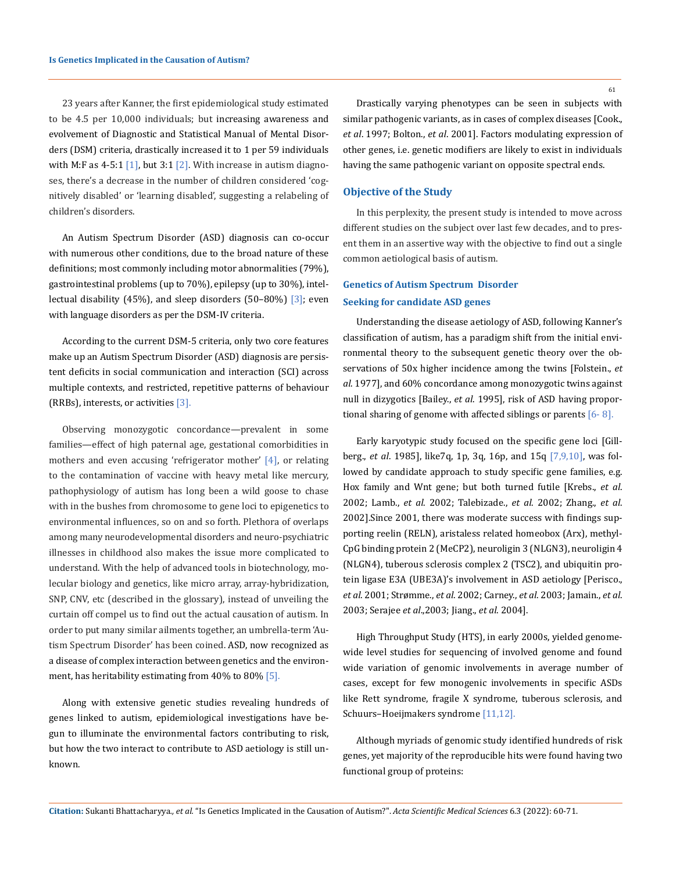23 years after Kanner, the first epidemiological study estimated to be 4.5 per 10,000 individuals; but increasing awareness and evolvement of Diagnostic and Statistical Manual of Mental Disorders (DSM) criteria, drastically increased it to 1 per 59 individuals with M:F as  $4-5:1$  [1], but  $3:1$  [2]. With increase in autism diagnoses, there's a decrease in the number of children considered 'cognitively disabled' or 'learning disabled', suggesting a relabeling of children's disorders.

An Autism Spectrum Disorder (ASD) diagnosis can co-occur with numerous other conditions, due to the broad nature of these definitions; most commonly including motor abnormalities (79%), gastrointestinal problems (up to 70%), epilepsy (up to 30%), intellectual disability (45%), and sleep disorders (50–80%)  $\lceil 3 \rceil$ ; even with language disorders as per the DSM-IV criteria.

According to the current DSM-5 criteria, only two core features make up an Autism Spectrum Disorder (ASD) diagnosis are persistent deficits in social communication and interaction (SCI) across multiple contexts, and restricted, repetitive patterns of behaviour (RRBs), interests, or activities [3].

Observing monozygotic concordance—prevalent in some families—effect of high paternal age, gestational comorbidities in mothers and even accusing 'refrigerator mother' [4], or relating to the contamination of vaccine with heavy metal like mercury, pathophysiology of autism has long been a wild goose to chase with in the bushes from chromosome to gene loci to epigenetics to environmental influences, so on and so forth. Plethora of overlaps among many neurodevelopmental disorders and neuro-psychiatric illnesses in childhood also makes the issue more complicated to understand. With the help of advanced tools in biotechnology, molecular biology and genetics, like micro array, array-hybridization, SNP, CNV, etc (described in the glossary), instead of unveiling the curtain off compel us to find out the actual causation of autism. In order to put many similar ailments together, an umbrella-term 'Autism Spectrum Disorder' has been coined. ASD, now recognized as a disease of complex interaction between genetics and the environment, has heritability estimating from 40% to 80% [5].

Along with extensive genetic studies revealing hundreds of genes linked to autism, epidemiological investigations have begun to illuminate the environmental factors contributing to risk, but how the two interact to contribute to ASD aetiology is still unknown.

61

Drastically varying phenotypes can be seen in subjects with similar pathogenic variants, as in cases of complex diseases [Cook., *et al*. 1997; Bolton., *et al*. 2001]. Factors modulating expression of other genes, i.e. genetic modifiers are likely to exist in individuals having the same pathogenic variant on opposite spectral ends.

## **Objective of the Study**

In this perplexity, the present study is intended to move across different studies on the subject over last few decades, and to present them in an assertive way with the objective to find out a single common aetiological basis of autism.

# **Genetics of Autism Spectrum Disorder Seeking for candidate ASD genes**

Understanding the disease aetiology of ASD, following Kanner's classification of autism, has a paradigm shift from the initial environmental theory to the subsequent genetic theory over the observations of 50x higher incidence among the twins [Folstein., *et al*. 1977], and 60% concordance among monozygotic twins against null in dizygotics [Bailey., *et al*. 1995], risk of ASD having proportional sharing of genome with affected siblings or parents  $[6-8]$ .

Early karyotypic study focused on the specific gene loci [[Gill](https://www.ncbi.nlm.nih.gov/pmc/articles/PMC6710438/)[berg](https://www.ncbi.nlm.nih.gov/pmc/articles/PMC6710438/)., *et al*. 1985], like7q, 1p, 3q, 16p, and 15q [7,9,10], was followed by candidate approach to study specific gene families, e.g. Hox family and Wnt gene; but both turned futile [Krebs., *et al*. 2002; Lamb., *et al*. 2002; Talebizade., *et al*. 2002; Zhang., *et al*. 2002].Since 2001, there was moderate success with findings supporting reelin (RELN), aristaless related homeobox (Arx), methyl-CpG binding protein 2 (MeCP2), neuroligin 3 (NLGN3), neuroligin 4 (NLGN4), tuberous sclerosis complex 2 (TSC2), and ubiquitin protein ligase E3A (UBE3A)'s involvement in ASD aetiology [[Perisco.](https://www.ncbi.nlm.nih.gov/pmc/articles/PMC6710438/), *et al*. 2001; Strømme., *et al*. 2002; Carney., *et al*. 2003; Jamain., *et al*. 2003; [Serajee](https://www.ncbi.nlm.nih.gov/pmc/articles/PMC6710438/) *et al*.,2003; Jiang., *et al*. 2004].

High Throughput Study (HTS), in early 2000s, yielded genomewide level studies for sequencing of involved genome and found wide variation of genomic involvements in average number of cases, except for few monogenic involvements in specific ASDs like Rett syndrome, fragile X syndrome, tuberous sclerosis, and Schuurs–Hoeijmakers syndrome [11,12].

Although myriads of genomic study identified hundreds of risk genes, yet majority of the reproducible hits were found having two functional group of proteins:

**Citation:** Sukanti Bhattacharyya*., et al.* "Is Genetics Implicated in the Causation of Autism?". *Acta Scientific Medical Sciences* 6.3 (2022): 60-71.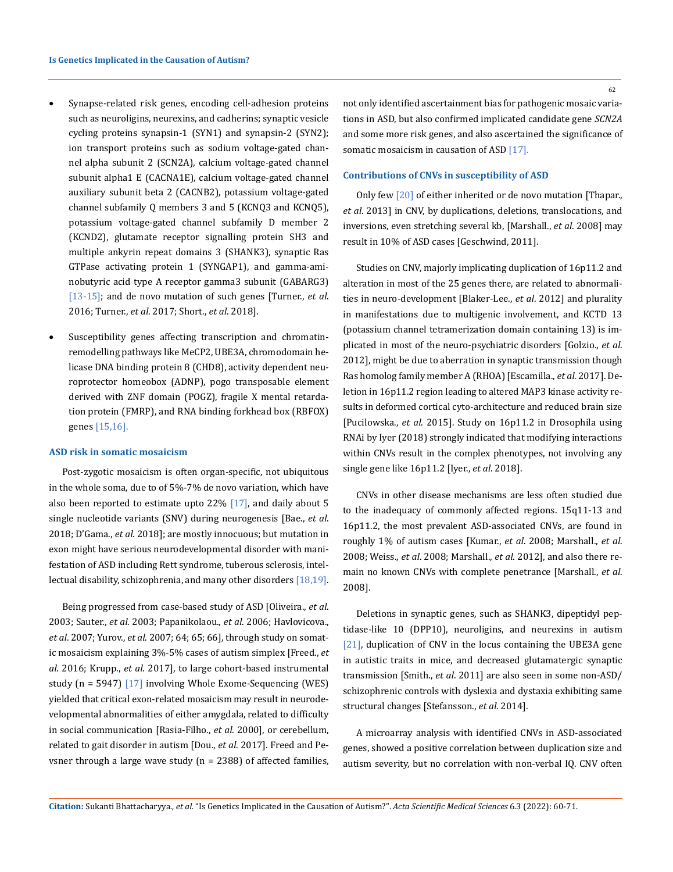- Synapse-related risk genes, encoding cell-adhesion proteins such as neuroligins, neurexins, and cadherins; synaptic vesicle cycling proteins synapsin-1 (SYN1) and synapsin-2 (SYN2); ion transport proteins such as sodium voltage-gated channel alpha subunit 2 (SCN2A), calcium voltage-gated channel subunit alpha1 E (CACNA1E), calcium voltage-gated channel auxiliary subunit beta 2 (CACNB2), potassium voltage-gated channel subfamily Q members 3 and 5 (KCNQ3 and KCNQ5), potassium voltage-gated channel subfamily D member 2 (KCND2), glutamate receptor signalling protein SH3 and multiple ankyrin repeat domains 3 (SHANK3), synaptic Ras GTPase activating protein 1 (SYNGAP1), and gamma-aminobutyric acid type A receptor gamma3 subunit (GABARG3) [13-15]; and de novo mutation of such genes [Turner., *et al*. 2016; Turner., *et al*. 2017; Short., *et al*. 2018].
- • Susceptibility genes affecting transcription and chromatinremodelling pathways like MeCP2, UBE3A, chromodomain helicase DNA binding protein 8 (CHD8), activity dependent neuroprotector homeobox (ADNP), pogo transposable element derived with ZNF domain (POGZ), fragile X mental retardation protein (FMRP), and RNA binding forkhead box (RBFOX) genes [15,16].

#### **ASD risk in somatic mosaicism**

Post-zygotic mosaicism is often organ-specific, not ubiquitous in the whole soma, due to of 5%-7% de novo variation, which have also been reported to estimate upto  $22\%$  [17], and daily about 5 single nucleotide variants (SNV) during neurogenesis [Bae., *et al*. 2018; D'Gama., *et al*. 2018]; are mostly innocuous; but mutation in exon might have serious neurodevelopmental disorder with manifestation of ASD including Rett syndrome, tuberous sclerosis, intellectual disability, schizophrenia, and many other disorders [18,19].

Being progressed from case-based study of ASD [Oliveira., *et al*. 2003; Sauter., *et al*. 2003; Papanikolaou., *et al*. 2006; Havlovicova., *et al*. 2007; Yurov., *et al*. 2007; 64; 65; 66], through study on somatic mosaicism explaining 3%-5% cases of autism simplex [Freed., *et al*. 2016; Krupp., *et al*. 2017], to large cohort-based instrumental study (n = 5947) [17] involving Whole Exome-Sequencing (WES) yielded that critical exon-related mosaicism may result in neurodevelopmental abnormalities of either amygdala, related to difficulty in social communication [[Rasia-Filho.](https://www.ncbi.nlm.nih.gov/pmc/articles/PMC6710438/), *et al*. 2000], or cerebellum, related to gait disorder in autism [Dou., *et al*. 2017]. Freed and Pevsner through a large wave study (n = 2388) of affected families,

not only identified ascertainment bias for pathogenic mosaic variations in ASD, but also confirmed implicated candidate gene *SCN2A* and some more risk genes, and also ascertained the significance of somatic mosaicism in causation of ASD [17].

## **Contributions of CNVs in susceptibility of ASD**

Only few [20] of either inherited or de novo mutation [Thapar., *et al*. 2013] in CNV, by duplications, deletions, translocations, and inversions, even stretching several kb, [Marshall., *et al*. 2008] may result in 10% of ASD cases [\[Geschwind,](https://www.ncbi.nlm.nih.gov/pmc/articles/PMC6710438/) 2011].

Studies on CNV, majorly implicating duplication of 16p11.2 and alteration in most of the 25 genes there, are related to abnormalities in neuro-development [\[Blaker-Lee.](https://www.ncbi.nlm.nih.gov/pmc/articles/PMC6710438/), *et al*. 2012] and plurality in manifestations due to multigenic involvement, and KCTD 13 (potassium channel tetramerization domain containing 13) is implicated in most of the neuro-psychiatric disorders [Golzio., *et al*. 2012], might be due to aberration in synaptic transmission though Ras homolog family member A (RHOA) [Escamilla., *et al*. 2017]. Deletion in 16p11.2 region leading to altered MAP3 kinase activity results in deformed cortical cyto-architecture and reduced brain size [[Pucilowska](https://www.ncbi.nlm.nih.gov/pmc/articles/PMC6710438/)., *et al*. 2015]. Study on 16p11.2 in Drosophila using RNAi by Iyer (2018) strongly indicated that modifying interactions within CNVs result in the complex phenotypes, not involving any single gene like 16p11.2 [\[Iyer.](https://www.ncbi.nlm.nih.gov/pmc/articles/PMC6710438/), *et al*. 2018].

CNVs in other disease mechanisms are less often studied due to the inadequacy of commonly affected regions. 15q11-13 and 16p11.2, the most prevalent ASD-associated CNVs, are found in roughly 1% of autism cases [Kumar., *et al*. 2008; Marshall., *et al*. 2008; Weiss., *et al*. 2008; Marshall., *et al*. 2012], and also there remain no known CNVs with complete penetrance [Marshall., *et al*. 2008].

Deletions in synaptic genes, such as SHANK3, dipeptidyl peptidase-like 10 (DPP10), neuroligins, and neurexins in autism [21], duplication of CNV in the locus containing the UBE3A gene in autistic traits in mice, and decreased glutamatergic synaptic transmission [Smith., *et al*. 2011] are also seen in some non-ASD/ schizophrenic controls with dyslexia and dystaxia exhibiting same structural changes [Stefansson., *et al*. 2014].

A microarray analysis with identified CNVs in ASD-associated genes, showed a positive correlation between duplication size and autism severity, but no correlation with non-verbal IQ. CNV often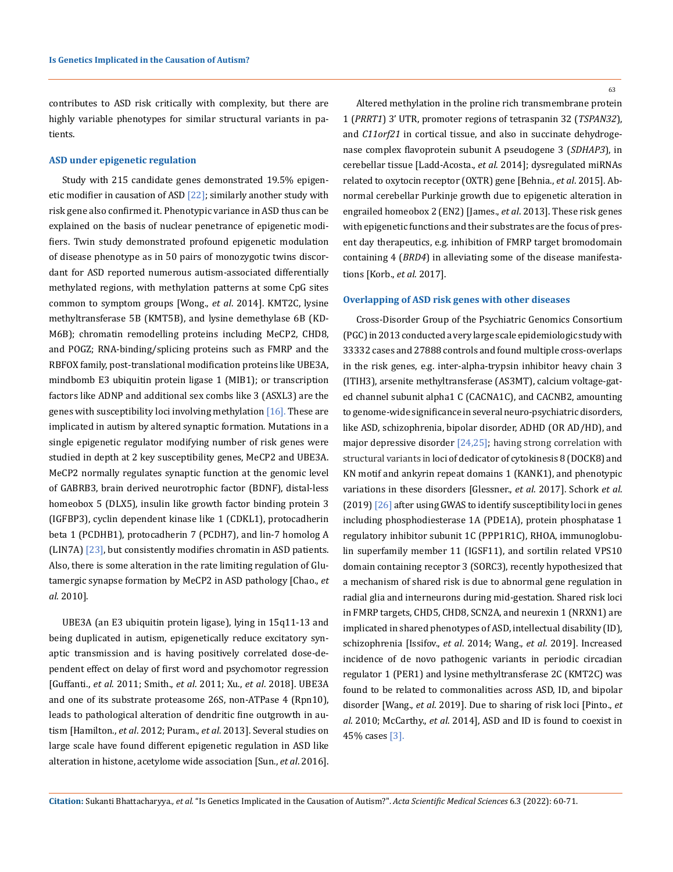contributes to ASD risk critically with complexity, but there are highly variable phenotypes for similar structural variants in patients.

#### **ASD under epigenetic regulation**

Study with 215 candidate genes demonstrated 19.5% epigenetic modifier in causation of ASD  $[22]$ ; similarly another study with risk gene also confirmed it. Phenotypic variance in ASD thus can be explained on the basis of nuclear penetrance of epigenetic modifiers. Twin study demonstrated profound epigenetic modulation of disease phenotype as in 50 pairs of monozygotic twins discordant for ASD reported numerous autism-associated differentially methylated regions, with methylation patterns at some CpG sites common to symptom groups [Wong., *et al*. 2014]. KMT2C, lysine methyltransferase 5B (KMT5B), and lysine demethylase 6B (KD-M6B); chromatin remodelling proteins including MeCP2, CHD8, and POGZ; RNA-binding/splicing proteins such as FMRP and the RBFOX family, post-translational modification proteins like UBE3A, mindbomb E3 ubiquitin protein ligase 1 (MIB1); or transcription factors like ADNP and additional sex combs like 3 (ASXL3) are the genes with susceptibility loci involving methylation [16]. These are implicated in autism by altered synaptic formation. Mutations in a single epigenetic regulator modifying number of risk genes were studied in depth at 2 key susceptibility genes, MeCP2 and UBE3A. MeCP2 normally regulates synaptic function at the genomic level of GABRB3, brain derived neurotrophic factor (BDNF), distal-less homeobox 5 (DLX5), insulin like growth factor binding protein 3 (IGFBP3), cyclin dependent kinase like 1 (CDKL1), protocadherin beta 1 (PCDHB1), protocadherin 7 (PCDH7), and lin-7 homolog A (LIN7A) [23], but consistently modifies chromatin in ASD patients. Also, there is some alteration in the rate limiting regulation of Glutamergic synapse formation by MeCP2 in ASD pathology [Chao., *et al*. 2010].

UBE3A (an E3 ubiquitin protein ligase), lying in 15q11-13 and being duplicated in autism, epigenetically reduce excitatory synaptic transmission and is having positively correlated dose-dependent effect on delay of first word and psychomotor regression [[Guffanti.](https://www.ncbi.nlm.nih.gov/pmc/articles/PMC6710438/), *et al*. 2011; Smith., *et al*. 2011; Xu., *et al*. 2018]. UBE3A and one of its substrate proteasome 26S, non-ATPase 4 (Rpn10), leads to pathological alteration of dendritic fine outgrowth in autism [Hamilton., *et al*. 2012; Puram., *et al*. 2013]. Several studies on large scale have found different epigenetic regulation in ASD like alteration in histone, acetylome wide association [Sun., *et al*. 2016]. 63

Altered methylation in the proline rich transmembrane protein 1 (*PRRT1*) 3' UTR, promoter regions of tetraspanin 32 (*TSPAN32*), and *C11orf21* in cortical tissue, and also in succinate dehydrogenase complex flavoprotein subunit A pseudogene 3 (*SDHAP3*), in cerebellar tissue [Ladd-Acosta., *et al*. 2014]; dysregulated miRNAs related to oxytocin receptor (OXTR) gene [\[Behnia](https://www.ncbi.nlm.nih.gov/pmc/articles/PMC6710438/)., *et al*. 2015]. Abnormal cerebellar Purkinje growth due to epigenetic alteration in engrailed homeobox 2 (EN2) [James., *et al*. 2013]. These risk genes with epigenetic functions and their substrates are the focus of present day therapeutics, e.g. inhibition of FMRP target bromodomain containing 4 (*BRD4*) in alleviating some of the disease manifestations [\[Korb.](https://www.ncbi.nlm.nih.gov/pmc/articles/PMC6710438/), *et al*. 2017].

#### **Overlapping of ASD risk genes with other diseases**

Cross-Disorder Group of the Psychiatric Genomics Consortium (PGC) in 2013 conducted a very large scale epidemiologic study with 33332 cases and 27888 controls and found multiple cross-overlaps in the risk genes, e.g. inter-alpha-trypsin inhibitor heavy chain 3 (ITIH3), arsenite methyltransferase (AS3MT), calcium voltage-gated channel subunit alpha1 C (CACNA1C), and CACNB2, amounting to genome-wide significance in several neuro-psychiatric disorders, like ASD, schizophrenia, bipolar disorder, ADHD (OR AD/HD), and major depressive disorder  $[24,25]$ ; having strong correlation with structural variants in loci of dedicator of cytokinesis 8 (DOCK8) and KN motif and ankyrin repeat domains 1 (KANK1), and phenotypic variations in these disorders [Glessner., *et al*. 2017]. Schork *et al*. (2019)  $[26]$  after using GWAS to identify susceptibility loci in genes including phosphodiesterase 1A (PDE1A), protein phosphatase 1 regulatory inhibitor subunit 1C (PPP1R1C), RHOA, immunoglobulin superfamily member 11 (IGSF11), and sortilin related VPS10 domain containing receptor 3 (SORC3), recently hypothesized that a mechanism of shared risk is due to abnormal gene regulation in radial glia and interneurons during mid-gestation. Shared risk loci in FMRP targets, CHD5, CHD8, SCN2A, and neurexin 1 (NRXN1) are implicated in shared phenotypes of ASD, intellectual disability (ID), schizophrenia [[Issifov](https://www.ncbi.nlm.nih.gov/pmc/articles/PMC6710438/)., *et al*. 2014; Wang., *et al*. 2019]. Increased incidence of de novo pathogenic variants in periodic circadian regulator 1 (PER1) and lysine methyltransferase 2C (KMT2C) was found to be related to commonalities across ASD, ID, and bipolar disorder [Wang., *et al*. 2019]. Due to sharing of risk loci [Pinto., *et al*. 2010; McCarthy., *et al*. 2014], ASD and ID is found to coexist in 45% cases [3].

**Citation:** Sukanti Bhattacharyya*., et al.* "Is Genetics Implicated in the Causation of Autism?". *Acta Scientific Medical Sciences* 6.3 (2022): 60-71.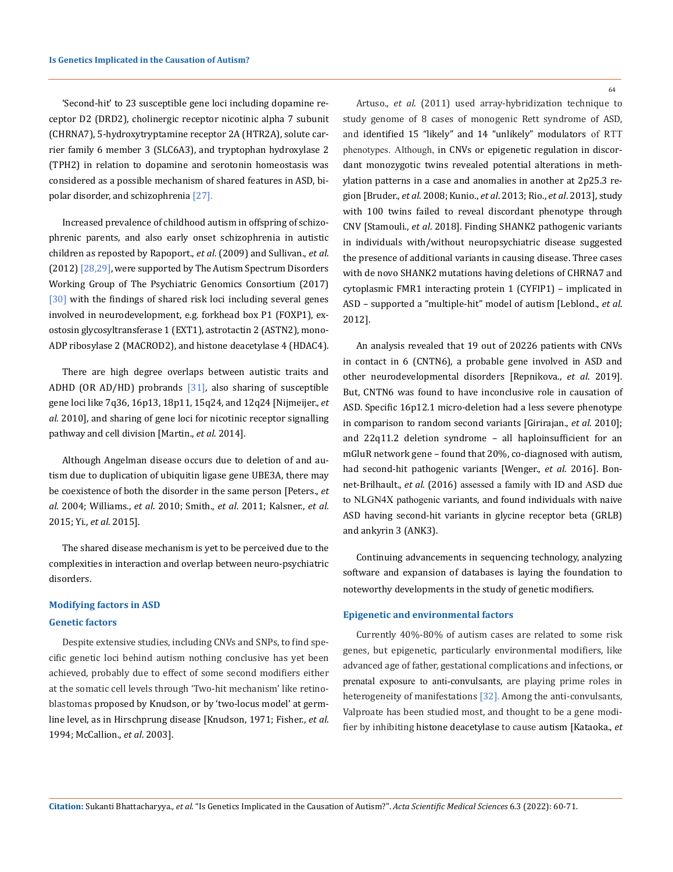'Second-hit' to 23 susceptible gene loci including dopamine receptor D2 (DRD2), cholinergic receptor nicotinic alpha 7 subunit (CHRNA7), 5-hydroxytryptamine receptor 2A (HTR2A), solute carrier family 6 member 3 (SLC6A3), and tryptophan hydroxylase 2 (TPH2) in relation to dopamine and serotonin homeostasis was considered as a possible mechanism of shared features in ASD, bipolar disorder, and schizophrenia [27].

Increased prevalence of childhood autism in offspring of schizophrenic parents, and also early onset schizophrenia in autistic children as reposted by Rapoport., *et al*. (2009) and Sullivan., *et al*. (2012) [28,29], were supported by The Autism Spectrum Disorders Working Group of The Psychiatric Genomics Consortium (2017) [30] with the findings of shared risk loci including several genes involved in neurodevelopment, e.g. forkhead box P1 (FOXP1), exostosin glycosyltransferase 1 (EXT1), astrotactin 2 (ASTN2), mono-ADP ribosylase 2 (MACROD2), and histone deacetylase 4 (HDAC4).

There are high degree overlaps between autistic traits and ADHD (OR AD/HD) probrands [31], also sharing of susceptible gene loci like 7q36, 16p13, 18p11, 15q24, and 12q24 [Nijmeijer., *et al*. 2010], and sharing of gene loci for nicotinic receptor signalling pathway and cell division [Martin., *et al*. 2014].

Although Angelman disease occurs due to deletion of and autism due to duplication of ubiquitin ligase gene UBE3A, there may be coexistence of both the disorder in the same person [Peters., *et al*. 2004; Williams., *et al*. 2010; Smith., *et al*. 2011; Kalsner., *et al*. 2015; Yi., *et al*. 2015].

The shared disease mechanism is yet to be perceived due to the complexities in interaction and overlap between neuro-psychiatric disorders.

# **Modifying factors in ASD**

## **Genetic factors**

Despite extensive studies, including CNVs and SNPs, to find specific genetic loci behind autism nothing conclusive has yet been achieved, probably due to effect of some second modifiers either at the somatic cell levels through 'Two-hit mechanism' like retinoblastomas proposed by Knudson, or by 'two-locus model' at germline level, as in Hirschprung disease [Knudson, 1971; Fisher., *et al*. 1994; McCallion., *et al*. 2003].

64

Artuso., *et al*. (2011) used array-hybridization technique to study genome of 8 cases of monogenic Rett syndrome of ASD, and identified 15 "likely" and 14 "unlikely" modulators of RTT phenotypes. Although, in CNVs or epigenetic regulation in discordant monozygotic twins revealed potential alterations in methylation patterns in a case and anomalies in another at 2p25.3 region [\[Bruder.](https://www.ncbi.nlm.nih.gov/pmc/articles/PMC6710438/), *et al*. 2008; Kunio., *et al*. 2013; Rio., *et al*. 2013], study with 100 twins failed to reveal discordant phenotype through CNV [Stamouli., *et al*. 2018]. Finding SHANK2 pathogenic variants in individuals with/without neuropsychiatric disease suggested the presence of additional variants in causing disease. Three cases with de novo SHANK2 mutations having deletions of CHRNA7 and cytoplasmic FMR1 interacting protein 1 (CYFIP1) – implicated in ASD – supported a "multiple-hit" model of autism [\[Leblond.](https://www.ncbi.nlm.nih.gov/pmc/articles/PMC6710438/), *et al*. 2012].

An analysis revealed that 19 out of 20226 patients with CNVs in contact in 6 (CNTN6), a probable gene involved in ASD and other neurodevelopmental disorders [\[Repnikova.](https://www.ncbi.nlm.nih.gov/pmc/articles/PMC6710438/), *et al*. 2019]. But, CNTN6 was found to have inconclusive role in causation of ASD. Specific 16p12.1 micro-deletion had a less severe phenotype in comparison to random second variants [[Girirajan.](https://www.ncbi.nlm.nih.gov/pmc/articles/PMC6710438/), *et al*. 2010]; and 22q11.2 deletion syndrome – all haploinsufficient for an mGluR network gene – found that 20%, co-diagnosed with autism, had second-hit pathogenic variants [Wenger., *et al*. 2016]. Bonnet-Brilhault., *et al*. (2016) assessed a family with ID and ASD due to NLGN4X pathogenic variants, and found individuals with naive ASD having second-hit variants in glycine receptor beta (GRLB) and ankyrin 3 (ANK3).

Continuing advancements in sequencing technology, analyzing software and expansion of databases is laying the foundation to noteworthy developments in the study of genetic modifiers.

#### **Epigenetic and environmental factors**

Currently 40%-80% of autism cases are related to some risk genes, but epigenetic, particularly environmental modifiers, like advanced age of father, gestational complications and infections, or prenatal exposure to anti-convulsants, are playing prime roles in heterogeneity of manifestations [32]. Among the anti-convulsants, Valproate has been studied most, and thought to be a gene modifier by inhibiting histone deacetylase to cause autism [Kataoka., *et*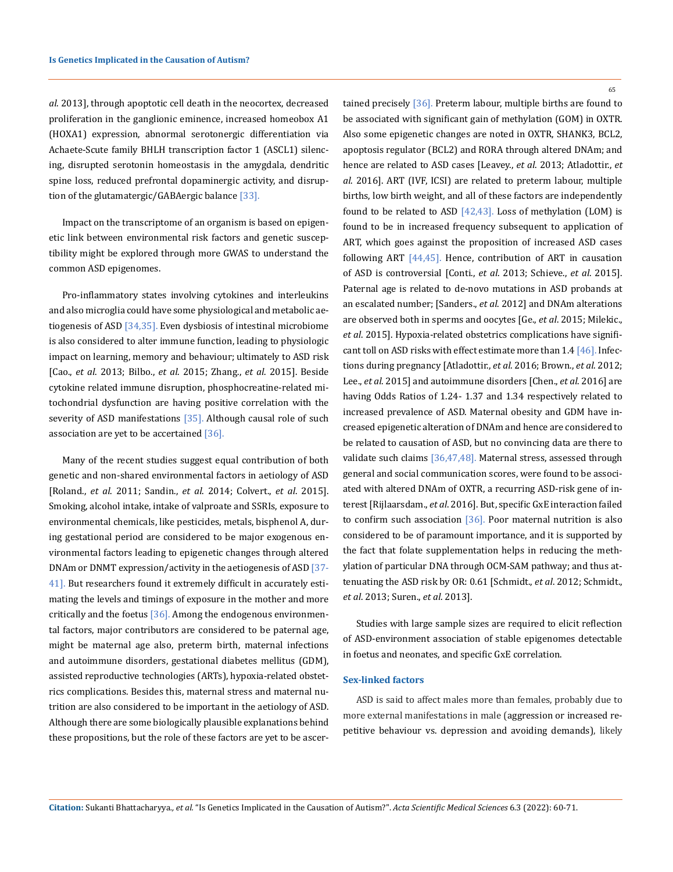*al*. 2013], through apoptotic cell death in the neocortex, decreased proliferation in the ganglionic eminence, increased homeobox A1 (HOXA1) expression, abnormal serotonergic differentiation via Achaete-Scute family BHLH transcription factor 1 (ASCL1) silencing, disrupted serotonin homeostasis in the amygdala, dendritic spine loss, reduced prefrontal dopaminergic activity, and disruption of the glutamatergic/GABAergic balance  $[33]$ .

Impact on the transcriptome of an organism is based on epigenetic link between environmental risk factors and genetic susceptibility might be explored through more GWAS to understand the common ASD epigenomes.

Pro-inflammatory states involving cytokines and interleukins and also microglia could have some physiological and metabolic aetiogenesis of ASD [34,35]. Even dysbiosis of intestinal microbiome is also considered to alter immune function, leading to physiologic impact on learning, memory and behaviour; ultimately to ASD risk [Cao., *et al*. 2013; Bilbo., *et al*. 2015; Zhang., *et al*. 2015]. Beside cytokine related immune disruption, phosphocreatine-related mitochondrial dysfunction are having positive correlation with the severity of ASD manifestations  $[35]$ . Although causal role of such association are yet to be accertained  $[36]$ .

Many of the recent studies suggest equal contribution of both genetic and non-shared environmental factors in aetiology of ASD [Roland., *et al*. 2011; Sandin., *et al*. 2014; Colvert., *et al*. 2015]. Smoking, alcohol intake, intake of valproate and SSRIs, exposure to environmental chemicals, like pesticides, metals, bisphenol A, during gestational period are considered to be major exogenous environmental factors leading to epigenetic changes through altered DNAm or DNMT expression/activity in the aetiogenesis of ASD [37- 41]. But researchers found it extremely difficult in accurately estimating the levels and timings of exposure in the mother and more critically and the foetus  $[36]$ . Among the endogenous environmental factors, major contributors are considered to be paternal age, might be maternal age also, preterm birth, maternal infections and autoimmune disorders, gestational diabetes mellitus (GDM), assisted reproductive technologies (ARTs), hypoxia-related obstetrics complications. Besides this, maternal stress and maternal nutrition are also considered to be important in the aetiology of ASD. Although there are some biologically plausible explanations behind these propositions, but the role of these factors are yet to be ascer65

tained precisely [36]. Preterm labour, multiple births are found to be associated with significant gain of methylation (GOM) in OXTR. Also some epigenetic changes are noted in OXTR, SHANK3, BCL2, apoptosis regulator (BCL2) and RORA through altered DNAm; and hence are related to ASD cases [Leavey., *et al*. 2013; Atladottir., *et al*. 2016]. ART (IVF, ICSI) are related to preterm labour, multiple births, low birth weight, and all of these factors are independently found to be related to ASD [42,43]. Loss of methylation (LOM) is found to be in increased frequency subsequent to application of ART, which goes against the proposition of increased ASD cases following ART [44,45]. Hence, contribution of ART in causation of ASD is controversial [Conti., *et al*. 2013; Schieve., *et al*. 2015]. Paternal age is related to de-novo mutations in ASD probands at an escalated number; [Sanders., *et al*. 2012] and DNAm alterations are observed both in sperms and oocytes [Ge., *et al*. 2015; Milekic., *et al*. 2015]. Hypoxia-related obstetrics complications have significant toll on ASD risks with effect estimate more than 1.4 [46]. Infections during pregnancy [Atladottir., *et al*. 2016; Brown., *et al*. 2012; Lee., *et al*. 2015] and autoimmune disorders [Chen., *et al*. 2016] are having Odds Ratios of 1.24- 1.37 and 1.34 respectively related to increased prevalence of ASD. Maternal obesity and GDM have increased epigenetic alteration of DNAm and hence are considered to be related to causation of ASD, but no convincing data are there to validate such claims [36,47,48]. Maternal stress, assessed through general and social communication scores, were found to be associated with altered DNAm of OXTR, a recurring ASD-risk gene of interest [Rijlaarsdam., *et al*. 2016]. But, specific GxE interaction failed to confirm such association  $[36]$ . Poor maternal nutrition is also considered to be of paramount importance, and it is supported by the fact that folate supplementation helps in reducing the methylation of particular DNA through OCM-SAM pathway; and thus attenuating the ASD risk by OR: 0.61 [Schmidt., *et al*. 2012; Schmidt., *et al*. 2013; Suren., *et al*. 2013].

Studies with large sample sizes are required to elicit reflection of ASD-environment association of stable epigenomes detectable in foetus and neonates, and specific GxE correlation.

#### **Sex-linked factors**

ASD is said to affect males more than females, probably due to more external manifestations in male (aggression or increased repetitive behaviour vs. depression and avoiding demands), likely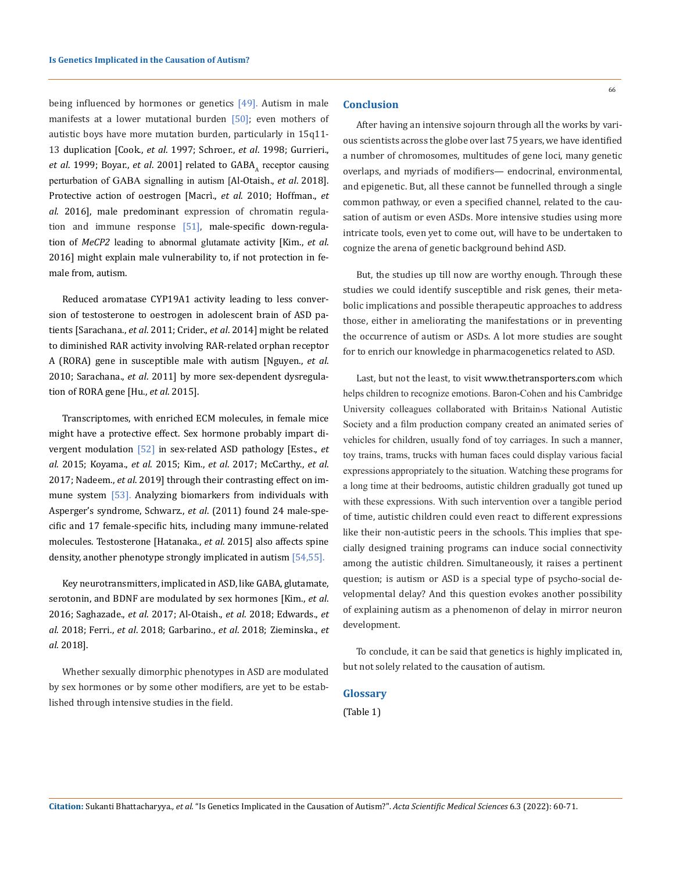being influenced by hormones or genetics [49]. Autism in male manifests at a lower mutational burden [50]; even mothers of autistic boys have more mutation burden, particularly in 15q11- 13 duplication [Cook., *et al*. 1997; Schroer., *et al*. 1998; Gurrieri., *et al.* 1999; Boyar., *et al.* 2001] related to GABA, receptor causing perturbation of GABA signalling in autism [Al-Otaish., *et al*. 2018]. Protective action of oestrogen [Macrì., *et al*. 2010; Hoffman., *et al*. 2016], male predominant expression of chromatin regulation and immune response [51], male-specific down-regulation of *MeCP2* leading to abnormal glutamate activity [Kim., *et al*. 2016] might explain male vulnerability to, if not protection in female from, autism.

Reduced aromatase CYP19A1 activity leading to less conversion of testosterone to oestrogen in adolescent brain of ASD patients [[Sarachana](https://www.ncbi.nlm.nih.gov/pmc/articles/PMC6710438/)., *et al*. 2011; Crider., *et al*. 2014] might be related to diminished RAR activity involving RAR-related orphan receptor A (RORA) gene in susceptible male with autism [Nguyen., *et al*. 2010; Sarachana., *et al*. 2011] by more sex-dependent dysregulation of RORA gene [Hu., *et al*. 2015].

Transcriptomes, with enriched ECM molecules, in female mice might have a protective effect. Sex hormone probably impart divergent modulation [52] in sex-related ASD pathology [Estes., *et al*. 2015; Koyama., *et al*. 2015; Kim., *et al*. 2017; McCarthy., *et al*. 2017; Nadeem., *et al*. 2019] through their contrasting effect on immune system [53]. Analyzing biomarkers from individuals with Asperger's syndrome, Schwarz., *et al*. (2011) found 24 male-specific and 17 female-specific hits, including many immune-related molecules. Testosterone [Hatanaka., *et al*. 2015] also affects spine density, another phenotype strongly implicated in autism [54,55].

Key neurotransmitters, implicated in ASD, like GABA, glutamate, serotonin, and BDNF are modulated by sex hormones [Kim., *et al*. 2016; Saghazade., *et al*. 2017; Al-Otaish., *et al*. 2018; Edwards., *et al*. 2018; Ferri., *et al*. 2018; Garbarino., *et al*. 2018; Zieminska., *et al*. 2018].

Whether sexually dimorphic phenotypes in ASD are modulated by sex hormones or by some other modifiers, are yet to be established through intensive studies in the field.

## **Conclusion**

After having an intensive sojourn through all the works by various scientists across the globe over last 75 years, we have identified a number of chromosomes, multitudes of gene loci, many genetic overlaps, and myriads of modifiers— endocrinal, environmental, and epigenetic. But, all these cannot be funnelled through a single common pathway, or even a specified channel, related to the causation of autism or even ASDs. More intensive studies using more intricate tools, even yet to come out, will have to be undertaken to cognize the arena of genetic background behind ASD.

But, the studies up till now are worthy enough. Through these studies we could identify susceptible and risk genes, their metabolic implications and possible therapeutic approaches to address those, either in ameliorating the manifestations or in preventing the occurrence of autism or ASDs. A lot more studies are sought for to enrich our knowledge in pharmacogenetics related to ASD.

Last, but not the least, to visit www.thetransporters.com which helps children to recognize emotions. Baron-Cohen and his Cambridge University colleagues collaborated with Britain›s National Autistic Society and a film production company created an animated series of vehicles for children, usually fond of toy carriages. In such a manner, toy trains, trams, trucks with human faces could display various facial expressions appropriately to the situation. Watching these programs for a long time at their bedrooms, autistic children gradually got tuned up with these expressions. With such intervention over a tangible period of time, autistic children could even react to different expressions like their non-autistic peers in the schools. This implies that specially designed training programs can induce social connectivity among the autistic children. Simultaneously, it raises a pertinent question; is autism or ASD is a special type of psycho-social developmental delay? And this question evokes another possibility of explaining autism as a phenomenon of delay in mirror neuron development.

To conclude, it can be said that genetics is highly implicated in, but not solely related to the causation of autism.

## **Glossary**

(Table 1)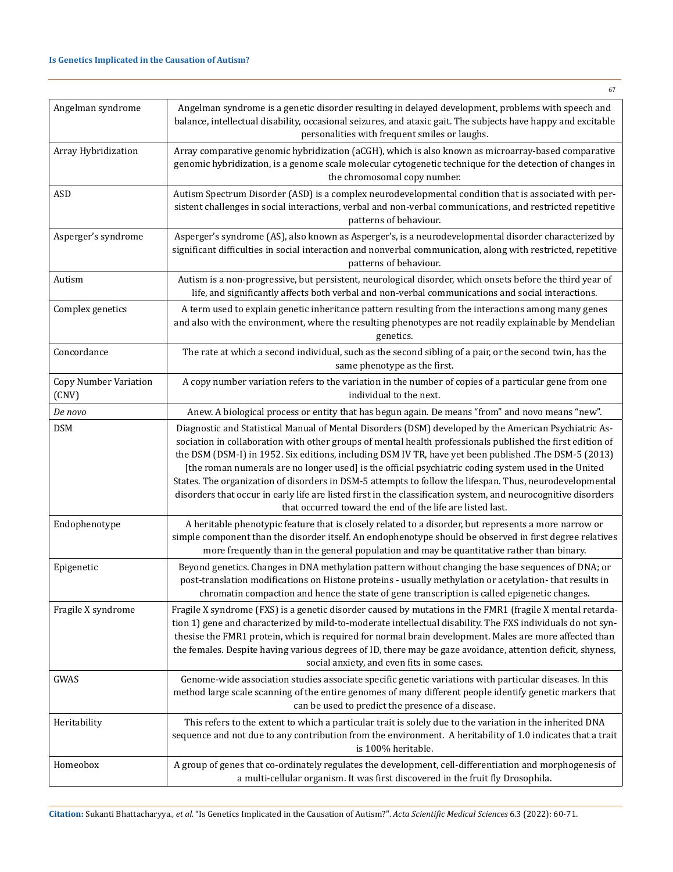| Angelman syndrome                     | Angelman syndrome is a genetic disorder resulting in delayed development, problems with speech and<br>balance, intellectual disability, occasional seizures, and ataxic gait. The subjects have happy and excitable<br>personalities with frequent smiles or laughs.                                                                                                                                                                                                                                                                                                                                                                                                                                                            |
|---------------------------------------|---------------------------------------------------------------------------------------------------------------------------------------------------------------------------------------------------------------------------------------------------------------------------------------------------------------------------------------------------------------------------------------------------------------------------------------------------------------------------------------------------------------------------------------------------------------------------------------------------------------------------------------------------------------------------------------------------------------------------------|
| Array Hybridization                   | Array comparative genomic hybridization (aCGH), which is also known as microarray-based comparative<br>genomic hybridization, is a genome scale molecular cytogenetic technique for the detection of changes in<br>the chromosomal copy number.                                                                                                                                                                                                                                                                                                                                                                                                                                                                                 |
| ASD                                   | Autism Spectrum Disorder (ASD) is a complex neurodevelopmental condition that is associated with per-<br>sistent challenges in social interactions, verbal and non-verbal communications, and restricted repetitive<br>patterns of behaviour.                                                                                                                                                                                                                                                                                                                                                                                                                                                                                   |
| Asperger's syndrome                   | Asperger's syndrome (AS), also known as Asperger's, is a neurodevelopmental disorder characterized by<br>significant difficulties in social interaction and nonverbal communication, along with restricted, repetitive<br>patterns of behaviour.                                                                                                                                                                                                                                                                                                                                                                                                                                                                                |
| Autism                                | Autism is a non-progressive, but persistent, neurological disorder, which onsets before the third year of<br>life, and significantly affects both verbal and non-verbal communications and social interactions.                                                                                                                                                                                                                                                                                                                                                                                                                                                                                                                 |
| Complex genetics                      | A term used to explain genetic inheritance pattern resulting from the interactions among many genes<br>and also with the environment, where the resulting phenotypes are not readily explainable by Mendelian<br>genetics.                                                                                                                                                                                                                                                                                                                                                                                                                                                                                                      |
| Concordance                           | The rate at which a second individual, such as the second sibling of a pair, or the second twin, has the<br>same phenotype as the first.                                                                                                                                                                                                                                                                                                                                                                                                                                                                                                                                                                                        |
| <b>Copy Number Variation</b><br>(CNV) | A copy number variation refers to the variation in the number of copies of a particular gene from one<br>individual to the next.                                                                                                                                                                                                                                                                                                                                                                                                                                                                                                                                                                                                |
| De novo                               | Anew. A biological process or entity that has begun again. De means "from" and novo means "new".                                                                                                                                                                                                                                                                                                                                                                                                                                                                                                                                                                                                                                |
| <b>DSM</b>                            | Diagnostic and Statistical Manual of Mental Disorders (DSM) developed by the American Psychiatric As-<br>sociation in collaboration with other groups of mental health professionals published the first edition of<br>the DSM (DSM-I) in 1952. Six editions, including DSM IV TR, have yet been published .The DSM-5 (2013)<br>[the roman numerals are no longer used] is the official psychiatric coding system used in the United<br>States. The organization of disorders in DSM-5 attempts to follow the lifespan. Thus, neurodevelopmental<br>disorders that occur in early life are listed first in the classification system, and neurocognitive disorders<br>that occurred toward the end of the life are listed last. |
| Endophenotype                         | A heritable phenotypic feature that is closely related to a disorder, but represents a more narrow or<br>simple component than the disorder itself. An endophenotype should be observed in first degree relatives<br>more frequently than in the general population and may be quantitative rather than binary.                                                                                                                                                                                                                                                                                                                                                                                                                 |
| Epigenetic                            | Beyond genetics. Changes in DNA methylation pattern without changing the base sequences of DNA; or<br>post-translation modifications on Histone proteins - usually methylation or acetylation- that results in<br>chromatin compaction and hence the state of gene transcription is called epigenetic changes.                                                                                                                                                                                                                                                                                                                                                                                                                  |
| Fragile X syndrome                    | Fragile X syndrome (FXS) is a genetic disorder caused by mutations in the FMR1 (fragile X mental retarda-<br>tion 1) gene and characterized by mild-to-moderate intellectual disability. The FXS individuals do not syn-<br>thesise the FMR1 protein, which is required for normal brain development. Males are more affected than<br>the females. Despite having various degrees of ID, there may be gaze avoidance, attention deficit, shyness,<br>social anxiety, and even fits in some cases.                                                                                                                                                                                                                               |
| GWAS                                  | Genome-wide association studies associate specific genetic variations with particular diseases. In this<br>method large scale scanning of the entire genomes of many different people identify genetic markers that<br>can be used to predict the presence of a disease.                                                                                                                                                                                                                                                                                                                                                                                                                                                        |
| Heritability                          | This refers to the extent to which a particular trait is solely due to the variation in the inherited DNA<br>sequence and not due to any contribution from the environment. A heritability of 1.0 indicates that a trait<br>is 100% heritable.                                                                                                                                                                                                                                                                                                                                                                                                                                                                                  |
| Homeobox                              | A group of genes that co-ordinately regulates the development, cell-differentiation and morphogenesis of<br>a multi-cellular organism. It was first discovered in the fruit fly Drosophila.                                                                                                                                                                                                                                                                                                                                                                                                                                                                                                                                     |

**Citation:** Sukanti Bhattacharyya*., et al.* "Is Genetics Implicated in the Causation of Autism?". *Acta Scientific Medical Sciences* 6.3 (2022): 60-71.

67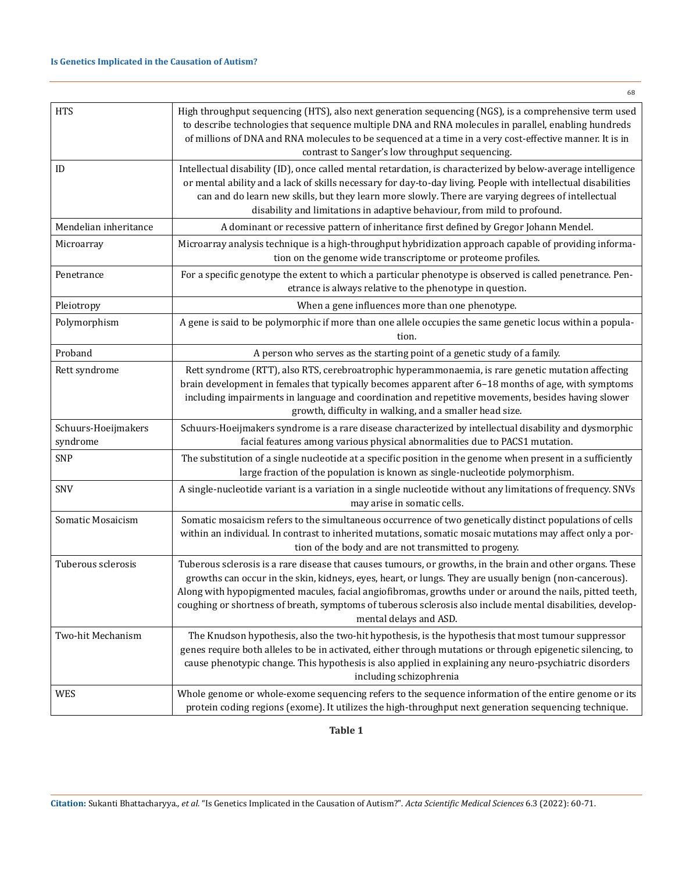# **Is Genetics Implicated in the Causation of Autism?**

|                                 | 68                                                                                                                                                                                                                                                                                                                                                                                                                                                                        |
|---------------------------------|---------------------------------------------------------------------------------------------------------------------------------------------------------------------------------------------------------------------------------------------------------------------------------------------------------------------------------------------------------------------------------------------------------------------------------------------------------------------------|
| <b>HTS</b>                      | High throughput sequencing (HTS), also next generation sequencing (NGS), is a comprehensive term used<br>to describe technologies that sequence multiple DNA and RNA molecules in parallel, enabling hundreds<br>of millions of DNA and RNA molecules to be sequenced at a time in a very cost-effective manner. It is in<br>contrast to Sanger's low throughput sequencing.                                                                                              |
| ID                              | Intellectual disability (ID), once called mental retardation, is characterized by below-average intelligence<br>or mental ability and a lack of skills necessary for day-to-day living. People with intellectual disabilities<br>can and do learn new skills, but they learn more slowly. There are varying degrees of intellectual<br>disability and limitations in adaptive behaviour, from mild to profound.                                                           |
| Mendelian inheritance           | A dominant or recessive pattern of inheritance first defined by Gregor Johann Mendel.                                                                                                                                                                                                                                                                                                                                                                                     |
| Microarray                      | Microarray analysis technique is a high-throughput hybridization approach capable of providing informa-<br>tion on the genome wide transcriptome or proteome profiles.                                                                                                                                                                                                                                                                                                    |
| Penetrance                      | For a specific genotype the extent to which a particular phenotype is observed is called penetrance. Pen-<br>etrance is always relative to the phenotype in question.                                                                                                                                                                                                                                                                                                     |
| Pleiotropy                      | When a gene influences more than one phenotype.                                                                                                                                                                                                                                                                                                                                                                                                                           |
| Polymorphism                    | A gene is said to be polymorphic if more than one allele occupies the same genetic locus within a popula-<br>tion.                                                                                                                                                                                                                                                                                                                                                        |
| Proband                         | A person who serves as the starting point of a genetic study of a family.                                                                                                                                                                                                                                                                                                                                                                                                 |
| Rett syndrome                   | Rett syndrome (RTT), also RTS, cerebroatrophic hyperammonaemia, is rare genetic mutation affecting<br>brain development in females that typically becomes apparent after 6-18 months of age, with symptoms<br>including impairments in language and coordination and repetitive movements, besides having slower<br>growth, difficulty in walking, and a smaller head size.                                                                                               |
| Schuurs-Hoeijmakers<br>syndrome | Schuurs-Hoeijmakers syndrome is a rare disease characterized by intellectual disability and dysmorphic<br>facial features among various physical abnormalities due to PACS1 mutation.                                                                                                                                                                                                                                                                                     |
| SNP                             | The substitution of a single nucleotide at a specific position in the genome when present in a sufficiently<br>large fraction of the population is known as single-nucleotide polymorphism.                                                                                                                                                                                                                                                                               |
| SNV                             | A single-nucleotide variant is a variation in a single nucleotide without any limitations of frequency. SNVs<br>may arise in somatic cells.                                                                                                                                                                                                                                                                                                                               |
| Somatic Mosaicism               | Somatic mosaicism refers to the simultaneous occurrence of two genetically distinct populations of cells<br>within an individual. In contrast to inherited mutations, somatic mosaic mutations may affect only a por-<br>tion of the body and are not transmitted to progeny.                                                                                                                                                                                             |
| Tuberous sclerosis              | Tuberous sclerosis is a rare disease that causes tumours, or growths, in the brain and other organs. These<br>growths can occur in the skin, kidneys, eyes, heart, or lungs. They are usually benign (non-cancerous).<br>Along with hypopigmented macules, facial angiofibromas, growths under or around the nails, pitted teeth,<br>coughing or shortness of breath, symptoms of tuberous sclerosis also include mental disabilities, develop-<br>mental delays and ASD. |
| Two-hit Mechanism               | The Knudson hypothesis, also the two-hit hypothesis, is the hypothesis that most tumour suppressor<br>genes require both alleles to be in activated, either through mutations or through epigenetic silencing, to<br>cause phenotypic change. This hypothesis is also applied in explaining any neuro-psychiatric disorders<br>including schizophrenia                                                                                                                    |
| <b>WES</b>                      | Whole genome or whole-exome sequencing refers to the sequence information of the entire genome or its<br>protein coding regions (exome). It utilizes the high-throughput next generation sequencing technique.                                                                                                                                                                                                                                                            |

**Table 1**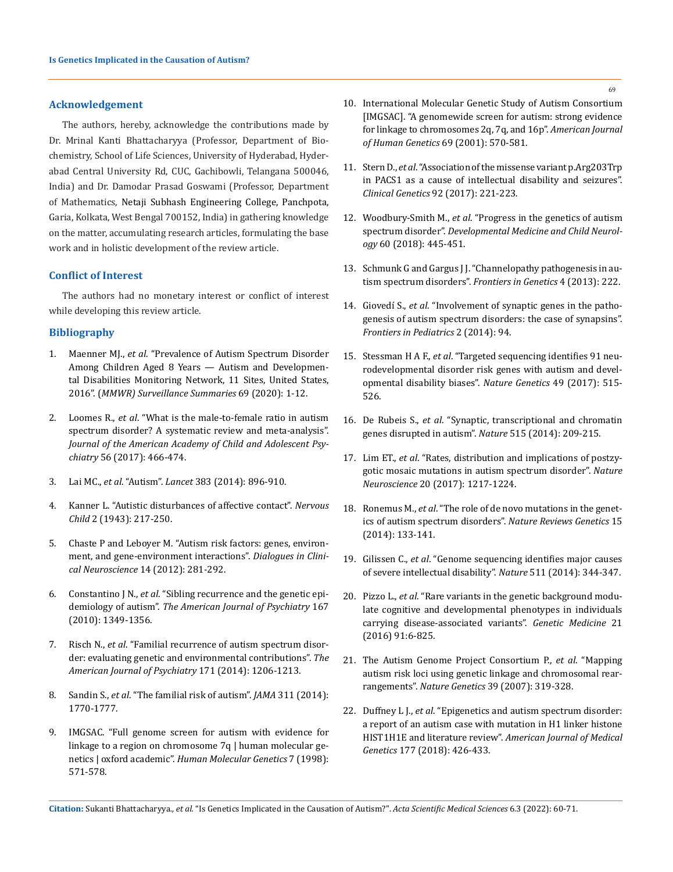## **Acknowledgement**

The authors, hereby, acknowledge the contributions made by Dr. Mrinal Kanti Bhattacharyya (Professor, Department of Biochemistry, School of Life Sciences, University of Hyderabad, Hyderabad Central University Rd, CUC, Gachibowli, Telangana 500046, India) and Dr. Damodar Prasad Goswami (Professor, Department of Mathematics, Netaji Subhash Engineering College, Panchpota, Garia, Kolkata, West Bengal 700152, India) in gathering knowledge on the matter, accumulating research articles, formulating the base work and in holistic development of the review article.

#### **Conflict of Interest**

The authors had no monetary interest or conflict of interest while developing this review article.

# **Bibliography**

- 1. Maenner MJ., *et al*[. "Prevalence of Autism Spectrum Disorder](http://dx.doi.org/10.15585/mmwr.ss6904a1)  [Among Children Aged 8 Years — Autism and Developmen](http://dx.doi.org/10.15585/mmwr.ss6904a1)[tal Disabilities Monitoring Network, 11 Sites, United States,](http://dx.doi.org/10.15585/mmwr.ss6904a1)  2016". (*[MMWR\) Surveillance Summaries](http://dx.doi.org/10.15585/mmwr.ss6904a1)* 69 (2020): 1-12.
- 2. Loomes R., *et al*[. "What is the male-to-female ratio in autism](https://pubmed.ncbi.nlm.nih.gov/28545751/)  [spectrum disorder? A systematic review and meta-analysis".](https://pubmed.ncbi.nlm.nih.gov/28545751/)  *[Journal of the American Academy of Child and Adolescent Psy](https://pubmed.ncbi.nlm.nih.gov/28545751/)chiatry* [56 \(2017\): 466-474.](https://pubmed.ncbi.nlm.nih.gov/28545751/)
- 3. Lai MC., *et al*. "Autism". *Lancet* [383 \(2014\): 896-910.](https://pubmed.ncbi.nlm.nih.gov/24074734/)
- 4. Kanner L. "Autistic disturbances of affective contact". *Nervous Child* 2 (1943): 217-250.
- 5. [Chaste P and Leboyer M. "Autism risk factors: genes, environ](https://www.researchgate.net/publication/233889572_Autism_risk_factors_Genes_environment_and_gene-environment_interactions)[ment, and gene-environment interactions".](https://www.researchgate.net/publication/233889572_Autism_risk_factors_Genes_environment_and_gene-environment_interactions) *Dialogues in Clinical Neuroscience* [14 \(2012\): 281-292.](https://www.researchgate.net/publication/233889572_Autism_risk_factors_Genes_environment_and_gene-environment_interactions)
- 6. Constantino J N., *et al*[. "Sibling recurrence and the genetic epi](https://ajp.psychiatryonline.org/doi/full/10.1176/appi.ajp.2010.09101470)demiology of autism". *[The American Journal of Psychiatry](https://ajp.psychiatryonline.org/doi/full/10.1176/appi.ajp.2010.09101470)* 167 [\(2010\): 1349-1356.](https://ajp.psychiatryonline.org/doi/full/10.1176/appi.ajp.2010.09101470)
- 7. Risch N., *et al*[. "Familial recurrence of autism spectrum disor](https://ajp.psychiatryonline.org/doi/full/10.1176/appi.ajp.2014.13101359)[der: evaluating genetic and environmental contributions".](https://ajp.psychiatryonline.org/doi/full/10.1176/appi.ajp.2014.13101359) *The [American Journal of Psychiatry](https://ajp.psychiatryonline.org/doi/full/10.1176/appi.ajp.2014.13101359)* 171 (2014): 1206-1213.
- 8. Sandin S., *et al*[. "The familial risk of autism".](https://jamanetwork.com/journals/jama/fullarticle/1866100) *JAMA* 311 (2014): [1770-1777.](https://jamanetwork.com/journals/jama/fullarticle/1866100)
- 9. [IMGSAC. "Full genome screen for autism with evidence for](https://academic.oup.com/hmg/article/7/3/571/2901515)  [linkage to a region on chromosome 7q | human molecular ge](https://academic.oup.com/hmg/article/7/3/571/2901515)netics | oxford academic". *[Human Molecular Genetics](https://academic.oup.com/hmg/article/7/3/571/2901515)* 7 (1998): [571-578.](https://academic.oup.com/hmg/article/7/3/571/2901515)
- 10. International Molecular Genetic Study of Autism Consortium [IMGSAC]. "A genomewide screen for autism: strong evidence for linkage to chromosomes 2q, 7q, and 16p". *American Journal of Human Genetics* 69 (2001): 570-581.
- 11. Stern D., *et al*[. "Association of the missense variant p.Arg203Trp](https://pubmed.ncbi.nlm.nih.gov/28111752/)  [in PACS1 as a cause of intellectual disability and seizures".](https://pubmed.ncbi.nlm.nih.gov/28111752/)  *[Clinical Genetics](https://pubmed.ncbi.nlm.nih.gov/28111752/)* 92 (2017): 221-223.
- 12. Woodbury-Smith M., *et al*[. "Progress in the genetics of autism](https://onlinelibrary.wiley.com/doi/full/10.1111/dmcn.13717)  spectrum disorder". *[Developmental Medicine and Child Neurol](https://onlinelibrary.wiley.com/doi/full/10.1111/dmcn.13717)ogy* [60 \(2018\): 445-451.](https://onlinelibrary.wiley.com/doi/full/10.1111/dmcn.13717)
- 13. [Schmunk G and Gargus J J. "Channelopathy pathogenesis in au](https://www.frontiersin.org/articles/10.3389/fgene.2013.00222/full)[tism spectrum disorders".](https://www.frontiersin.org/articles/10.3389/fgene.2013.00222/full) *Frontiers in Genetics* 4 (2013): 222.
- 14. Giovedí S., *et al*. "Involvement of synaptic genes in the pathogenesis of autism spectrum disorders: the case of synapsins". *Frontiers in Pediatrics* 2 (2014): 94.
- 15. Stessman H A F., *et al*[. "Targeted sequencing identifies 91 neu](https://www.nature.com/articles/ng.3792)[rodevelopmental disorder risk genes with autism and devel](https://www.nature.com/articles/ng.3792)[opmental disability biases".](https://www.nature.com/articles/ng.3792) *Nature Genetics* 49 (2017): 515- [526.](https://www.nature.com/articles/ng.3792)
- 16. De Rubeis S., *et al*[. "Synaptic, transcriptional and chromatin](https://www.nature.com/articles/nature13772)  [genes disrupted in autism".](https://www.nature.com/articles/nature13772) *Nature* 515 (2014): 209-215.
- 17. Lim ET., *et al*[. "Rates, distribution and implications of postzy](https://www.nature.com/articles/nn.4598)[gotic mosaic mutations in autism spectrum disorder".](https://www.nature.com/articles/nn.4598) *Nature Neuroscience* [20 \(2017\): 1217-1224.](https://www.nature.com/articles/nn.4598)
- 18. Ronemus M., *et al*[. "The role of de novo mutations in the genet](https://pubmed.ncbi.nlm.nih.gov/24430941/)[ics of autism spectrum disorders".](https://pubmed.ncbi.nlm.nih.gov/24430941/) *Nature Reviews Genetics* 15 [\(2014\): 133-141.](https://pubmed.ncbi.nlm.nih.gov/24430941/)
- 19. Gilissen C., *et al*[. "Genome sequencing identifies major causes](https://www.nature.com/articles/nature13394)  [of severe intellectual disability".](https://www.nature.com/articles/nature13394) *Nature* 511 (2014): 344-347.
- 20. Pizzo L., *et al*[. "Rare variants in the genetic background modu](https://www.nature.com/articles/s41436-018-0266-3)[late cognitive and developmental phenotypes in individuals](https://www.nature.com/articles/s41436-018-0266-3)  [carrying disease-associated variants".](https://www.nature.com/articles/s41436-018-0266-3) *Genetic Medicine* 21 [\(2016\) 91:6-825.](https://www.nature.com/articles/s41436-018-0266-3)
- 21. [The Autism Genome Project Consortium P.,](https://www.nature.com/articles/ng1985) *et al*. "Mapping [autism risk loci using genetic linkage and chromosomal rear](https://www.nature.com/articles/ng1985)rangements". *Nature Genetics* [39 \(2007\): 319-328.](https://www.nature.com/articles/ng1985)
- 22. Duffney L J., *et al*[. "Epigenetics and autism spectrum disorder:](https://onlinelibrary.wiley.com/doi/10.1002/ajmg.b.32631)  [a report of an autism case with mutation in H1 linker histone](https://onlinelibrary.wiley.com/doi/10.1002/ajmg.b.32631)  HIST1H1E and literature review". *[American Journal of Medical](https://onlinelibrary.wiley.com/doi/10.1002/ajmg.b.32631)  Genetics* [177 \(2018\): 426-433.](https://onlinelibrary.wiley.com/doi/10.1002/ajmg.b.32631)

**Citation:** Sukanti Bhattacharyya*., et al.* "Is Genetics Implicated in the Causation of Autism?". *Acta Scientific Medical Sciences* 6.3 (2022): 60-71.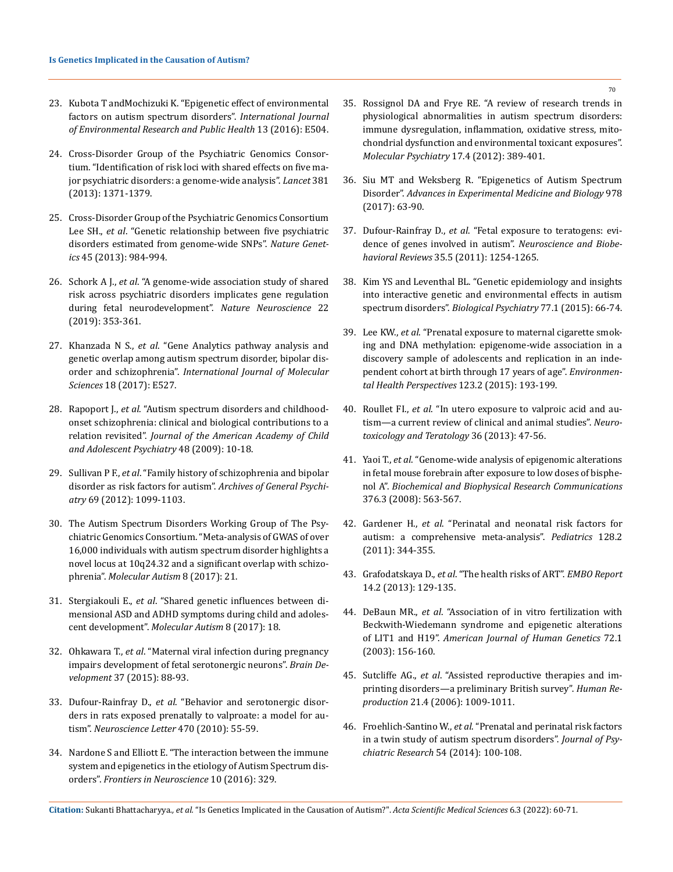- 23. [Kubota T andMochizuki K. "Epigenetic effect of environmental](https://www.mdpi.com/1660-4601/13/5/504)  [factors on autism spectrum disorders".](https://www.mdpi.com/1660-4601/13/5/504) *International Journal [of Environmental Research and Public Health](https://www.mdpi.com/1660-4601/13/5/504)* 13 (2016): E504.
- 24. [Cross-Disorder Group of the Psychiatric Genomics Consor](https://www.thelancet.com/journals/lancet/article/PIIS0140-6736(12)62129-1/fulltext)[tium. "Identification of risk loci with shared effects on five ma](https://www.thelancet.com/journals/lancet/article/PIIS0140-6736(12)62129-1/fulltext)[jor psychiatric disorders: a genome-wide analysis".](https://www.thelancet.com/journals/lancet/article/PIIS0140-6736(12)62129-1/fulltext) *Lancet* 381 [\(2013\): 1371-1379.](https://www.thelancet.com/journals/lancet/article/PIIS0140-6736(12)62129-1/fulltext)
- 25. [Cross-Disorder Group of the Psychiatric Genomics Consortium](https://pubmed.ncbi.nlm.nih.gov/23933821/)  Lee SH., *et al*[. "Genetic relationship between five psychiatric](https://pubmed.ncbi.nlm.nih.gov/23933821/)  [disorders estimated from genome-wide SNPs".](https://pubmed.ncbi.nlm.nih.gov/23933821/) *Nature Genetics* [45 \(2013\): 984-994.](https://pubmed.ncbi.nlm.nih.gov/23933821/)
- 26. Schork A J., *et al*[. "A genome-wide association study of shared](https://www.nature.com/articles/s41593-018-0320-0)  [risk across psychiatric disorders implicates gene regulation](https://www.nature.com/articles/s41593-018-0320-0)  [during fetal neurodevelopment".](https://www.nature.com/articles/s41593-018-0320-0) *Nature Neuroscience* 22 [\(2019\): 353-361.](https://www.nature.com/articles/s41593-018-0320-0)
- 27. Khanzada N S., *et al*[. "Gene Analytics pathway analysis and](https://www.mdpi.com/1422-0067/18/3/527)  [genetic overlap among autism spectrum disorder, bipolar dis](https://www.mdpi.com/1422-0067/18/3/527)order and schizophrenia". *[International Journal of Molecular](https://www.mdpi.com/1422-0067/18/3/527)  Sciences* [18 \(2017\): E527.](https://www.mdpi.com/1422-0067/18/3/527)
- 28. Rapoport J., *et al*[. "Autism spectrum disorders and childhood](https://pubmed.ncbi.nlm.nih.gov/19218893/)[onset schizophrenia: clinical and biological contributions to a](https://pubmed.ncbi.nlm.nih.gov/19218893/)  relation revisited". *[Journal of the American Academy of Child](https://pubmed.ncbi.nlm.nih.gov/19218893/)  [and Adolescent Psychiatry](https://pubmed.ncbi.nlm.nih.gov/19218893/)* 48 (2009): 10-18.
- 29. Sullivan P F., *et al*[. "Family history of schizophrenia and bipolar](https://pubmed.ncbi.nlm.nih.gov/22752149/)  [disorder as risk factors for autism".](https://pubmed.ncbi.nlm.nih.gov/22752149/) *Archives of General Psychiatry* [69 \(2012\): 1099-1103.](https://pubmed.ncbi.nlm.nih.gov/22752149/)
- 30. [The Autism Spectrum Disorders Working Group of The Psy](https://molecularautism.biomedcentral.com/articles/10.1186/s13229-017-0137-9)[chiatric Genomics Consortium. "Meta-analysis of GWAS of over](https://molecularautism.biomedcentral.com/articles/10.1186/s13229-017-0137-9)  [16,000 individuals with autism spectrum disorder highlights a](https://molecularautism.biomedcentral.com/articles/10.1186/s13229-017-0137-9)  [novel locus at 10q24.32 and a significant overlap with schizo](https://molecularautism.biomedcentral.com/articles/10.1186/s13229-017-0137-9)phrenia". *[Molecular Autism](https://molecularautism.biomedcentral.com/articles/10.1186/s13229-017-0137-9)* 8 (2017): 21.
- 31. Stergiakouli E., *et al*[. "Shared genetic influences between di](https://molecularautism.biomedcentral.com/articles/10.1186/s13229-017-0131-2)[mensional ASD and ADHD symptoms during child and adoles](https://molecularautism.biomedcentral.com/articles/10.1186/s13229-017-0131-2)cent development". *[Molecular Autism](https://molecularautism.biomedcentral.com/articles/10.1186/s13229-017-0131-2)* 8 (2017): 18.
- 32. Ohkawara T., *et al*[. "Maternal viral infection during pregnancy](https://pubmed.ncbi.nlm.nih.gov/24780604/)  [impairs development of fetal serotonergic neurons".](https://pubmed.ncbi.nlm.nih.gov/24780604/) *Brain Development* [37 \(2015\): 88-93.](https://pubmed.ncbi.nlm.nih.gov/24780604/)
- 33. Dufour-Rainfray D., *et al*[. "Behavior and serotonergic disor](https://pubmed.ncbi.nlm.nih.gov/20036713/)[ders in rats exposed prenatally to valproate: a model for au](https://pubmed.ncbi.nlm.nih.gov/20036713/)tism". *[Neuroscience Letter](https://pubmed.ncbi.nlm.nih.gov/20036713/)* 470 (2010): 55-59.
- 34. [Nardone S and Elliott E. "The interaction between the immune](https://pubmed.ncbi.nlm.nih.gov/27462204/)  [system and epigenetics in the etiology of Autism Spectrum dis](https://pubmed.ncbi.nlm.nih.gov/27462204/)orders". *[Frontiers in Neuroscience](https://pubmed.ncbi.nlm.nih.gov/27462204/)* 10 (2016): 329.
- 35. [Rossignol DA and Frye RE. "A review of research trends in](https://pubmed.ncbi.nlm.nih.gov/22143005/)  [physiological abnormalities in autism spectrum disorders:](https://pubmed.ncbi.nlm.nih.gov/22143005/)  [immune dysregulation, inflammation, oxidative stress, mito](https://pubmed.ncbi.nlm.nih.gov/22143005/)[chondrial dysfunction and environmental toxicant exposures".](https://pubmed.ncbi.nlm.nih.gov/22143005/)  *[Molecular Psychiatry](https://pubmed.ncbi.nlm.nih.gov/22143005/)* 17.4 (2012): 389-401.
- 36. [Siu MT and Weksberg R. "Epigenetics of Autism Spectrum](https://pubmed.ncbi.nlm.nih.gov/28523541/)  Disorder". *[Advances in Experimental Medicine and Biology](https://pubmed.ncbi.nlm.nih.gov/28523541/)* 978 [\(2017\): 63-90.](https://pubmed.ncbi.nlm.nih.gov/28523541/)
- 37. Dufour-Rainfray D., *et al*[. "Fetal exposure to teratogens: evi](https://pubmed.ncbi.nlm.nih.gov/21195109/)[dence of genes involved in autism".](https://pubmed.ncbi.nlm.nih.gov/21195109/) *Neuroscience and Biobehavioral Reviews* [35.5 \(2011\): 1254-1265.](https://pubmed.ncbi.nlm.nih.gov/21195109/)
- 38. [Kim YS and Leventhal BL. "Genetic epidemiology and insights](https://pubmed.ncbi.nlm.nih.gov/25483344/)  [into interactive genetic and environmental effects in autism](https://pubmed.ncbi.nlm.nih.gov/25483344/)  spectrum disorders". *[Biological Psychiatry](https://pubmed.ncbi.nlm.nih.gov/25483344/)* 77.1 (2015): 66-74.
- 39. Lee KW., *et al*[. "Prenatal exposure to maternal cigarette smok](https://pubmed.ncbi.nlm.nih.gov/25325234/)[ing and DNA methylation: epigenome-wide association in a](https://pubmed.ncbi.nlm.nih.gov/25325234/)  [discovery sample of adolescents and replication in an inde](https://pubmed.ncbi.nlm.nih.gov/25325234/)[pendent cohort at birth through 17 years of age".](https://pubmed.ncbi.nlm.nih.gov/25325234/) *Environmen[tal Health Perspectives](https://pubmed.ncbi.nlm.nih.gov/25325234/)* 123.2 (2015): 193-199.
- 40. Roullet FI., *et al*[. "In utero exposure to valproic acid and au](https://www.researchgate.net/publication/235441265_In_Utero_exposure_to_valproic_acid_and_autism-a_current_review_of_clinical_and_animal_studies)[tism—a current review of clinical and animal studies".](https://www.researchgate.net/publication/235441265_In_Utero_exposure_to_valproic_acid_and_autism-a_current_review_of_clinical_and_animal_studies) *Neuro[toxicology and Teratology](https://www.researchgate.net/publication/235441265_In_Utero_exposure_to_valproic_acid_and_autism-a_current_review_of_clinical_and_animal_studies)* 36 (2013): 47-56.
- 41. Yaoi T., *et al*[. "Genome-wide analysis of epigenomic alterations](https://pubmed.ncbi.nlm.nih.gov/18804091/)  [in fetal mouse forebrain after exposure to low doses of bisphe](https://pubmed.ncbi.nlm.nih.gov/18804091/)nol A". *[Biochemical and Biophysical Research Communications](https://pubmed.ncbi.nlm.nih.gov/18804091/)*  [376.3 \(2008\): 563-567.](https://pubmed.ncbi.nlm.nih.gov/18804091/)
- 42. Gardener H., *et al*[. "Perinatal and neonatal risk factors for](https://pubmed.ncbi.nlm.nih.gov/21746727/)  [autism: a comprehensive meta-analysis".](https://pubmed.ncbi.nlm.nih.gov/21746727/) *Pediatrics* 128.2 [\(2011\): 344-355.](https://pubmed.ncbi.nlm.nih.gov/21746727/)
- 43. Grafodatskaya D., *et al*[. "The health risks of ART".](https://www.ncbi.nlm.nih.gov/pmc/articles/PMC3566846/) *EMBO Report* [14.2 \(2013\): 129-135.](https://www.ncbi.nlm.nih.gov/pmc/articles/PMC3566846/)
- 44. DeBaun MR., *et al*[. "Association of in vitro fertilization with](https://pubmed.ncbi.nlm.nih.gov/12439823/)  [Beckwith-Wiedemann syndrome and epigenetic alterations](https://pubmed.ncbi.nlm.nih.gov/12439823/)  of LIT1 and H19". *[American Journal of Human Genetics](https://pubmed.ncbi.nlm.nih.gov/12439823/)* 72.1 [\(2003\): 156-160.](https://pubmed.ncbi.nlm.nih.gov/12439823/)
- 45. Sutcliffe AG., *et al*[. "Assisted reproductive therapies and im](https://pubmed.ncbi.nlm.nih.gov/16361294/)[printing disorders—a preliminary British survey".](https://pubmed.ncbi.nlm.nih.gov/16361294/) *Human Reproduction* [21.4 \(2006\): 1009-1011.](https://pubmed.ncbi.nlm.nih.gov/16361294/)
- 46. Froehlich-Santino W., *et al*[. "Prenatal and perinatal risk factors](https://pubmed.ncbi.nlm.nih.gov/24726638/)  [in a twin study of autism spectrum disorders".](https://pubmed.ncbi.nlm.nih.gov/24726638/) *Journal of Psy[chiatric Research](https://pubmed.ncbi.nlm.nih.gov/24726638/)* 54 (2014): 100-108.

**Citation:** Sukanti Bhattacharyya*., et al.* "Is Genetics Implicated in the Causation of Autism?". *Acta Scientific Medical Sciences* 6.3 (2022): 60-71.